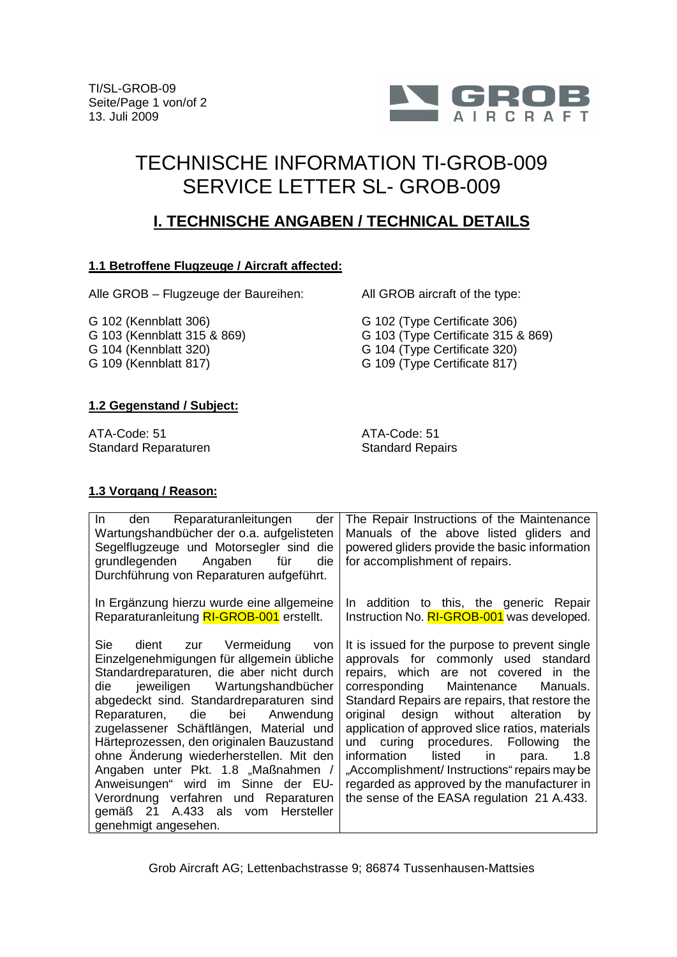

# TECHNISCHE INFORMATION TI-GROB-009 SERVICE LETTER SL- GROB-009

# **I. TECHNISCHE ANGABEN / TECHNICAL DETAILS**

### **1.1 Betroffene Flugzeuge / Aircraft affected:**

Alle GROB – Flugzeuge der Baureihen:

G 102 (Kennblatt 306) G 103 (Kennblatt 315 & 869) G 104 (Kennblatt 320) G 109 (Kennblatt 817)

All GROB aircraft of the type:

G 102 (Type Certificate 306) G 103 (Type Certificate 315 & 869) G 104 (Type Certificate 320) G 109 (Type Certificate 817)

## **1.2 Gegenstand / Subject:**

ATA-Code: 51 Standard Reparaturen ATA-Code: 51 Standard Repairs

### **1.3 Vorgang / Reason:**

| Reparaturanleitungen<br>der<br>$\ln$<br>den<br>Wartungshandbücher der o.a. aufgelisteten<br>Segelflugzeuge und Motorsegler sind die<br>grundlegenden Angaben für<br>die<br>Durchführung von Reparaturen aufgeführt.                                                                                                                                                                                                                                                                                                                                               | The Repair Instructions of the Maintenance<br>Manuals of the above listed gliders and<br>powered gliders provide the basic information<br>for accomplishment of repairs.                                                                                                                                                                                                                                                                                                                                                                                      |
|-------------------------------------------------------------------------------------------------------------------------------------------------------------------------------------------------------------------------------------------------------------------------------------------------------------------------------------------------------------------------------------------------------------------------------------------------------------------------------------------------------------------------------------------------------------------|---------------------------------------------------------------------------------------------------------------------------------------------------------------------------------------------------------------------------------------------------------------------------------------------------------------------------------------------------------------------------------------------------------------------------------------------------------------------------------------------------------------------------------------------------------------|
| In Ergänzung hierzu wurde eine allgemeine<br>Reparaturanleitung RI-GROB-001 erstellt.                                                                                                                                                                                                                                                                                                                                                                                                                                                                             | In addition to this, the generic Repair<br>Instruction No. RI-GROB-001 was developed.                                                                                                                                                                                                                                                                                                                                                                                                                                                                         |
| Sie<br>dient zur Vermeidung von<br>Einzelgenehmigungen für allgemein übliche<br>Standardreparaturen, die aber nicht durch<br>die jeweiligen Wartungshandbücher<br>abgedeckt sind. Standardreparaturen sind<br>Reparaturen, die bei Anwendung<br>zugelassener Schäftlängen, Material und<br>Härteprozessen, den originalen Bauzustand<br>ohne Anderung wiederherstellen. Mit den<br>Angaben unter Pkt. 1.8 "Maßnahmen /<br>Anweisungen" wird im Sinne der EU-<br>Verordnung verfahren und Reparaturen<br>gemäß 21 A.433 als vom Hersteller<br>genehmigt angesehen. | It is issued for the purpose to prevent single<br>approvals for commonly used standard<br>repairs, which are not covered in the<br>corresponding Maintenance<br>Manuals.<br>Standard Repairs are repairs, that restore the<br>original design without alteration<br>by<br>application of approved slice ratios, materials<br>und curing procedures. Following<br>the<br>information<br>listed in<br>1.8<br>para.<br>"Accomplishment/Instructions" repairs may be<br>regarded as approved by the manufacturer in<br>the sense of the EASA regulation 21 A.433. |

Grob Aircraft AG; Lettenbachstrasse 9; 86874 Tussenhausen-Mattsies